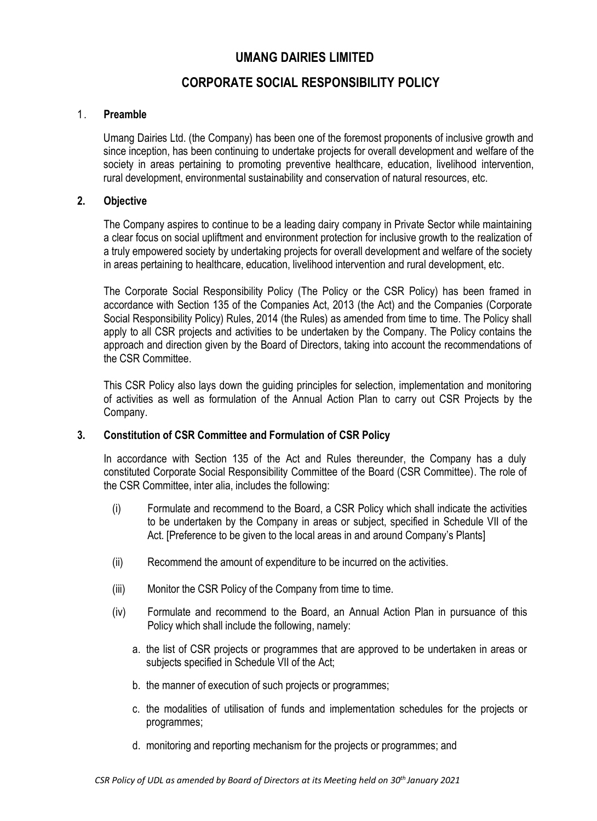# **UMANG DAIRIES LIMITED**

# **CORPORATE SOCIAL RESPONSIBILITY POLICY**

#### 1. **Preamble**

Umang Dairies Ltd. (the Company) has been one of the foremost proponents of inclusive growth and since inception, has been continuing to undertake projects for overall development and welfare of the society in areas pertaining to promoting preventive healthcare, education, livelihood intervention, rural development, environmental sustainability and conservation of natural resources, etc.

#### **2. Objective**

The Company aspires to continue to be a leading dairy company in Private Sector while maintaining a clear focus on social upliftment and environment protection for inclusive growth to the realization of a truly empowered society by undertaking projects for overall development and welfare of the society in areas pertaining to healthcare, education, livelihood intervention and rural development, etc.

The Corporate Social Responsibility Policy (The Policy or the CSR Policy) has been framed in accordance with Section 135 of the Companies Act, 2013 (the Act) and the Companies (Corporate Social Responsibility Policy) Rules, 2014 (the Rules) as amended from time to time. The Policy shall apply to all CSR projects and activities to be undertaken by the Company. The Policy contains the approach and direction given by the Board of Directors, taking into account the recommendations of the CSR Committee.

This CSR Policy also lays down the guiding principles for selection, implementation and monitoring of activities as well as formulation of the Annual Action Plan to carry out CSR Projects by the Company.

## **3. Constitution of CSR Committee and Formulation of CSR Policy**

In accordance with Section 135 of the Act and Rules thereunder, the Company has a duly constituted Corporate Social Responsibility Committee of the Board (CSR Committee). The role of the CSR Committee, inter alia, includes the following:

- (i) Formulate and recommend to the Board, a CSR Policy which shall indicate the activities to be undertaken by the Company in areas or subject, specified in Schedule VII of the Act. [Preference to be given to the local areas in and around Company's Plants]
- (ii) Recommend the amount of expenditure to be incurred on the activities.
- (iii) Monitor the CSR Policy of the Company from time to time.
- (iv) Formulate and recommend to the Board, an Annual Action Plan in pursuance of this Policy which shall include the following, namely:
	- a. the list of CSR projects or programmes that are approved to be undertaken in areas or subjects specified in Schedule VII of the Act;
	- b. the manner of execution of such projects or programmes;
	- c. the modalities of utilisation of funds and implementation schedules for the projects or programmes;
	- d. monitoring and reporting mechanism for the projects or programmes; and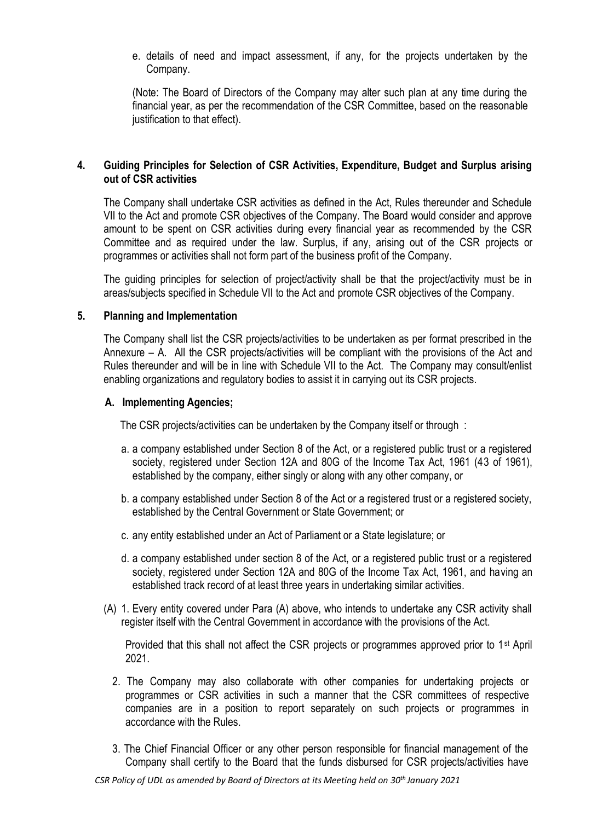e. details of need and impact assessment, if any, for the projects undertaken by the Company.

(Note: The Board of Directors of the Company may alter such plan at any time during the financial year, as per the recommendation of the CSR Committee, based on the reasonable justification to that effect).

## **4. Guiding Principles for Selection of CSR Activities, Expenditure, Budget and Surplus arising out of CSR activities**

The Company shall undertake CSR activities as defined in the Act, Rules thereunder and Schedule VII to the Act and promote CSR objectives of the Company. The Board would consider and approve amount to be spent on CSR activities during every financial year as recommended by the CSR Committee and as required under the law. Surplus, if any, arising out of the CSR projects or programmes or activities shall not form part of the business profit of the Company.

The guiding principles for selection of project/activity shall be that the project/activity must be in areas/subjects specified in Schedule VII to the Act and promote CSR objectives of the Company.

#### **5. Planning and Implementation**

The Company shall list the CSR projects/activities to be undertaken as per format prescribed in the Annexure – A. All the CSR projects/activities will be compliant with the provisions of the Act and Rules thereunder and will be in line with Schedule VII to the Act. The Company may consult/enlist enabling organizations and regulatory bodies to assist it in carrying out its CSR projects.

#### **A. Implementing Agencies;**

The CSR projects/activities can be undertaken by the Company itself or through :

- a. a company established under Section 8 of the Act, or a registered public trust or a registered society, registered under Section 12A and 80G of the Income Tax Act, 1961 (43 of 1961), established by the company, either singly or along with any other company, or
- b. a company established under Section 8 of the Act or a registered trust or a registered society, established by the Central Government or State Government; or
- c. any entity established under an Act of Parliament or a State legislature; or
- d. a company established under section 8 of the Act, or a registered public trust or a registered society, registered under Section 12A and 80G of the Income Tax Act, 1961, and having an established track record of at least three years in undertaking similar activities.
- (A) 1. Every entity covered under Para (A) above, who intends to undertake any CSR activity shall register itself with the Central Government in accordance with the provisions of the Act.

Provided that this shall not affect the CSR projects or programmes approved prior to 1st April 2021.

- 2. The Company may also collaborate with other companies for undertaking projects or programmes or CSR activities in such a manner that the CSR committees of respective companies are in a position to report separately on such projects or programmes in accordance with the Rules.
- 3. The Chief Financial Officer or any other person responsible for financial management of the Company shall certify to the Board that the funds disbursed for CSR projects/activities have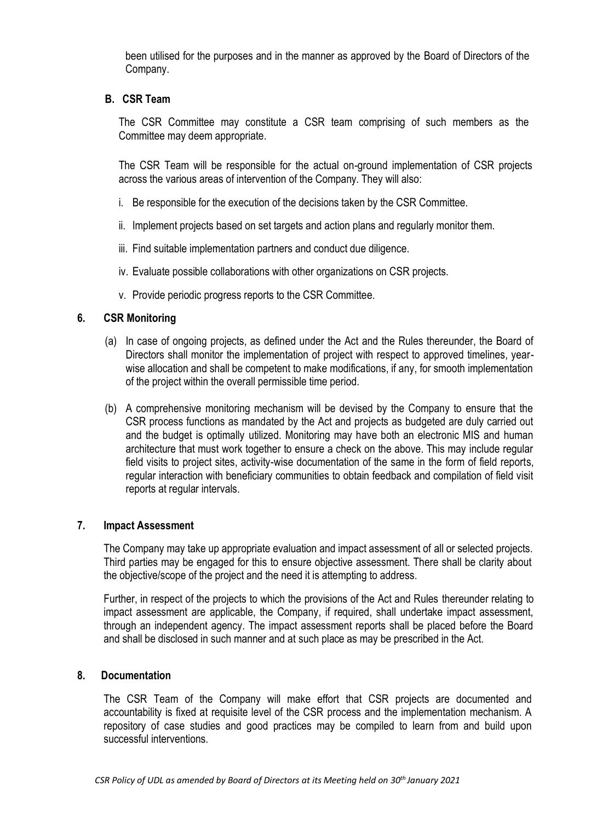been utilised for the purposes and in the manner as approved by the Board of Directors of the Company.

#### **B. CSR Team**

The CSR Committee may constitute a CSR team comprising of such members as the Committee may deem appropriate.

The CSR Team will be responsible for the actual on-ground implementation of CSR projects across the various areas of intervention of the Company. They will also:

- i. Be responsible for the execution of the decisions taken by the CSR Committee.
- ii. Implement projects based on set targets and action plans and regularly monitor them.
- iii. Find suitable implementation partners and conduct due diligence.
- iv. Evaluate possible collaborations with other organizations on CSR projects.
- v. Provide periodic progress reports to the CSR Committee.

#### **6. CSR Monitoring**

- (a) In case of ongoing projects, as defined under the Act and the Rules thereunder, the Board of Directors shall monitor the implementation of project with respect to approved timelines, yearwise allocation and shall be competent to make modifications, if any, for smooth implementation of the project within the overall permissible time period.
- (b) A comprehensive monitoring mechanism will be devised by the Company to ensure that the CSR process functions as mandated by the Act and projects as budgeted are duly carried out and the budget is optimally utilized. Monitoring may have both an electronic MIS and human architecture that must work together to ensure a check on the above. This may include regular field visits to project sites, activity-wise documentation of the same in the form of field reports, regular interaction with beneficiary communities to obtain feedback and compilation of field visit reports at regular intervals.

#### **7. Impact Assessment**

The Company may take up appropriate evaluation and impact assessment of all or selected projects. Third parties may be engaged for this to ensure objective assessment. There shall be clarity about the objective/scope of the project and the need it is attempting to address.

Further, in respect of the projects to which the provisions of the Act and Rules thereunder relating to impact assessment are applicable, the Company, if required, shall undertake impact assessment, through an independent agency. The impact assessment reports shall be placed before the Board and shall be disclosed in such manner and at such place as may be prescribed in the Act.

#### **8. Documentation**

The CSR Team of the Company will make effort that CSR projects are documented and accountability is fixed at requisite level of the CSR process and the implementation mechanism. A repository of case studies and good practices may be compiled to learn from and build upon successful interventions.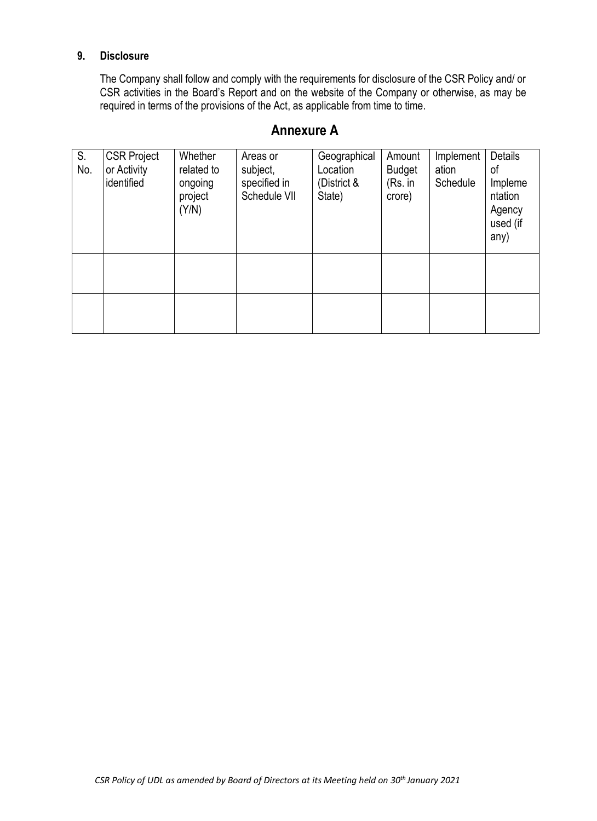## **9. Disclosure**

The Company shall follow and comply with the requirements for disclosure of the CSR Policy and/ or CSR activities in the Board's Report and on the website of the Company or otherwise, as may be required in terms of the provisions of the Act, as applicable from time to time.

# **Annexure A**

| S.<br>No. | <b>CSR Project</b><br>or Activity<br>identified | Whether<br>related to<br>ongoing<br>project<br>(Y/N) | Areas or<br>subject,<br>specified in<br>Schedule VII | Geographical<br>Location<br>(District &<br>State) | Amount<br><b>Budget</b><br>(Rs. in<br>crore) | Implement<br>ation<br>Schedule | <b>Details</b><br>οf<br>Impleme<br>ntation<br>Agency<br>used (if<br>any) |
|-----------|-------------------------------------------------|------------------------------------------------------|------------------------------------------------------|---------------------------------------------------|----------------------------------------------|--------------------------------|--------------------------------------------------------------------------|
|           |                                                 |                                                      |                                                      |                                                   |                                              |                                |                                                                          |
|           |                                                 |                                                      |                                                      |                                                   |                                              |                                |                                                                          |